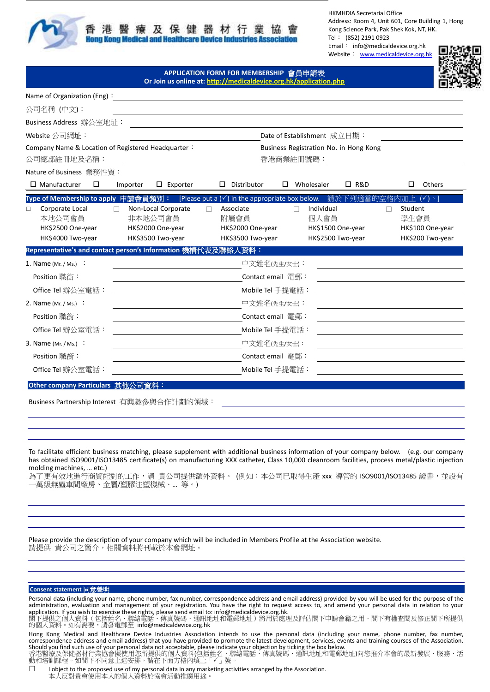

保健器 及 **Hong Kong Medical and Healthcare Device** 

HKMHDIA Secretarial Office Address: Room 4, Unit 601, Core Building 1, Hong Kong Science Park, Pak Shek Kok, NT, HK. Tel: (852) 2191 0923 Email: info@medicaldevice.org.hk Website: [www.medicaldevice.org.hk](http://www.medicaldevice.org.hk/)

**APPLICATION FORM FOR MEMBERSHIP** 會員申請表 **Or Join us online at[: http://medicaldevice.org.hk/application.php](http://medicaldevice.org.hk/application.php)**



| Name of Organization (Eng):                                                                                      |                                                                          |                                                                                                                                                                                                             |                                                          |  |  |  |  |
|------------------------------------------------------------------------------------------------------------------|--------------------------------------------------------------------------|-------------------------------------------------------------------------------------------------------------------------------------------------------------------------------------------------------------|----------------------------------------------------------|--|--|--|--|
| 公司名稱 (中文):                                                                                                       |                                                                          |                                                                                                                                                                                                             |                                                          |  |  |  |  |
| Business Address 辦公室地址:                                                                                          |                                                                          |                                                                                                                                                                                                             |                                                          |  |  |  |  |
| Website 公司網址:                                                                                                    |                                                                          | Date of Establishment 成立日期:                                                                                                                                                                                 |                                                          |  |  |  |  |
| Company Name & Location of Registered Headquarter:<br>公司總部註冊地及名稱:                                                |                                                                          | Business Registration No. in Hong Kong<br>香港商業註冊號碼:                                                                                                                                                         |                                                          |  |  |  |  |
| Nature of Business 業務性質:                                                                                         |                                                                          |                                                                                                                                                                                                             |                                                          |  |  |  |  |
| $\Box$ Manufacturer<br>□                                                                                         | $\Box$ Exporter<br>Importer                                              | Wholesaler<br><b>D</b> R&D<br>Distributor<br>□<br>□                                                                                                                                                         | <b>Others</b>                                            |  |  |  |  |
| Type of Membership to apply  申請會員類別:<br>Corporate Local<br>□<br>本地公司會員<br>HK\$2500 One-year<br>HK\$4000 Two-year | Non-Local Corporate<br>非本地公司會員<br>HK\$2000 One-year<br>HK\$3500 Two-year | [Please put a (√) in the appropriate box below. 請於<br>下列镝<br>Individual<br>Student<br>Associate<br>附屬會員<br>個人會員<br>學生會員<br>HK\$2000 One-year<br>HK\$1500 One-year<br>HK\$3500 Two-year<br>HK\$2500 Two-year | $(\checkmark)$ .<br>HK\$100 One-year<br>HK\$200 Two-year |  |  |  |  |
| Representative's and contact person's Information 機構代表及聯絡人資料:                                                    |                                                                          |                                                                                                                                                                                                             |                                                          |  |  |  |  |
| 1. Name (Mr. / Ms.) :                                                                                            |                                                                          | 中文姓名(先生/女士):                                                                                                                                                                                                |                                                          |  |  |  |  |
| Position 職銜:                                                                                                     | Contact email 電郵:                                                        |                                                                                                                                                                                                             |                                                          |  |  |  |  |
| Office Tel 辦公室電話:                                                                                                |                                                                          | Mobile Tel 手提電話:                                                                                                                                                                                            |                                                          |  |  |  |  |
| 中文姓名(先生/女士):<br>2. Name (Mr. / Ms.) :                                                                            |                                                                          |                                                                                                                                                                                                             |                                                          |  |  |  |  |
| Position 職銜:                                                                                                     |                                                                          | Contact email 電郵:                                                                                                                                                                                           |                                                          |  |  |  |  |
| Office Tel 辦公室電話:                                                                                                |                                                                          | Mobile Tel 手提電話:                                                                                                                                                                                            |                                                          |  |  |  |  |
| 3. Name (Mr. / Ms.) $\cdot$                                                                                      |                                                                          | 中文姓名(先生/女士):                                                                                                                                                                                                |                                                          |  |  |  |  |
| Position 職銜:                                                                                                     |                                                                          | Contact email 軍郵:                                                                                                                                                                                           |                                                          |  |  |  |  |
| Office Tel 辦公室電話:                                                                                                |                                                                          | Mobile Tel 手提電話:                                                                                                                                                                                            |                                                          |  |  |  |  |
| Other company Particulars 其他公司資料:                                                                                |                                                                          |                                                                                                                                                                                                             |                                                          |  |  |  |  |

Business Partnership Interest 有興趣參與合作計劃的領域:

To facilitate efficient business matching, please supplement with additional business information of your company below. (e.g. our company has obtained ISO9001/ISO13485 certificate(s) on manufacturing XXX catheter, Class 10,000 cleanroom facilities, process metal/plastic injection molding machines, … etc.)

為了更有效地進行商貿配對的工作,請 貴公司提供額外資料。 (例如:本公司已取得生產 xxx 導管的 ISO9001/ISO13485 證書,並設有 一萬級無塵車間廠房、金屬/塑膠注塑機械、… 等。)

Please provide the description of your company which will be included in Members Profile at the Association website. 請提供 貴公司之簡介,相關資料將刊載於本會網址。

## **Consent statement** 同意聲明

Personal data (including your name, phone number, fax number, correspondence address and email address) provided by you will be used for the purpose of the administration, evaluation and management of your registration. You have the right to request access to, and amend your personal data in relation to your

application. If you wish to exercise these rights, please send email to: info@medicaldevice.org.hk.<br>閣下提供之個人資料(包括姓名、聯絡電話、傳真號碼、通訊地址和電郵地址)將用於處理及評估閣下申請會籍之用。閣下有權查閱及修正閣下所提供<br>的個人資料。如有需要,請發電郵至 info@medicaldevice.org.hk

Hong Kong Medical and Healthcare Device Industries Association intends to use the personal data (including your name, phone number, fax number, correspondence address and email address) that you have provided to promote the latest development, services, events and training courses of the Association.

Should you find such use of your personal data not acceptable, please indicate your objection by ticking the box below.<br>香港醫療及保健器材行業協會擬使用您所提供的個人資料(包括姓名、聯絡電話、傳真號碼、通訊地址和電郵地址)向您推介本會的最新發展、服務、活<br>動和培訓課程。如閣下不同意上述安排,請在下面方格內填上「✔」號。

□ I object to the proposed use of my personal data in any marketing activities arranged by the Association. 本人反對貴會使用本人的個人資料於協會活動推廣用途。